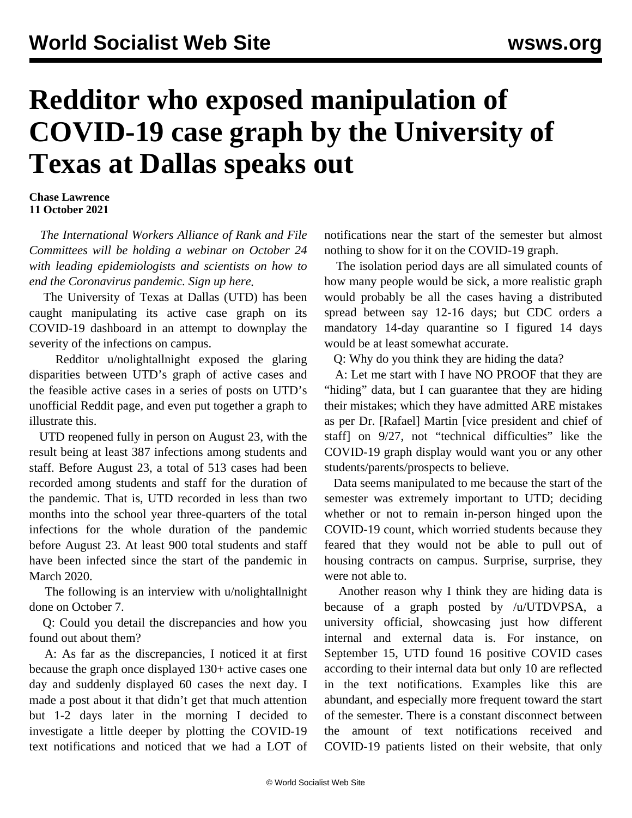## **Redditor who exposed manipulation of COVID-19 case graph by the University of Texas at Dallas speaks out**

## **Chase Lawrence 11 October 2021**

 *The International Workers Alliance of Rank and File Committees will be holding a webinar on October 24 with leading epidemiologists and scientists on how to end the Coronavirus pandemic. Sign up [here](/en/special/pages/how-to-end-the-pandemic.html).*

 The University of Texas at Dallas (UTD) has been [caught manipulating](/en/articles/2021/10/11/dall-o11.html) its active case graph on its COVID-19 dashboard in an attempt to downplay the severity of the infections on campus.

 Redditor [u/nolightallnight](https://www.reddit.com/user/nolightallnight/) exposed the glaring disparities between UTD's graph of active cases and the feasible active cases in a series of posts on UTD's unofficial Reddit page, and even put together a graph to illustrate this.

 UTD reopened fully in person on August 23, with the result being at least 387 infections among students and staff. Before August 23, a total of 513 cases had been recorded among students and staff for the duration of the pandemic. That is, UTD recorded in less than two months into the school year three-quarters of the total infections for the whole duration of the pandemic before August 23. At least 900 total students and staff have been infected since the start of the pandemic in March 2020.

 The following is an interview with [u/nolightallnight](https://www.reddit.com/user/nolightallnight/) done on October 7.

 Q: Could you detail the discrepancies and how you found out about them?

 A: As far as the discrepancies, I noticed it at first because the graph once displayed 130+ active cases one day and suddenly displayed 60 cases the next day. I made a post about it that didn't get that much attention but 1-2 days later in the morning I decided to investigate a little deeper by plotting the COVID-19 text notifications and noticed that we had a LOT of

notifications near the start of the semester but almost nothing to show for it on the COVID-19 graph.

 The isolation period days are all simulated counts of how many people would be sick, a more realistic graph would probably be all the cases having a distributed spread between say 12-16 days; but CDC orders a mandatory 14-day quarantine so I figured 14 days would be at least somewhat accurate.

Q: Why do you think they are hiding the data?

 A: Let me start with I have NO PROOF that they are "hiding" data, but I can guarantee that they are hiding their mistakes; which they have admitted ARE mistakes as per Dr. [Rafael] Martin [vice president and chief of staff] on 9/27, not "technical difficulties" like the COVID-19 graph display would want you or any other students/parents/prospects to believe.

 Data seems manipulated to me because the start of the semester was extremely important to UTD; deciding whether or not to remain in-person hinged upon the COVID-19 count, which worried students because they feared that they would not be able to pull out of housing contracts on campus. Surprise, surprise, they were not able to.

 Another reason why I think they are hiding data is because of a graph posted by [/u/UTDVPSA](https://www.reddit.com/user/UTDVPSA), a university official, showcasing just how different internal and external data is. For instance, on September 15, UTD found 16 positive COVID cases according to their internal data but only 10 are reflected in the text notifications. Examples like this are abundant, and especially more frequent toward the start of the semester. There is a constant disconnect between the amount of text notifications received and COVID-19 patients listed on their website, that only